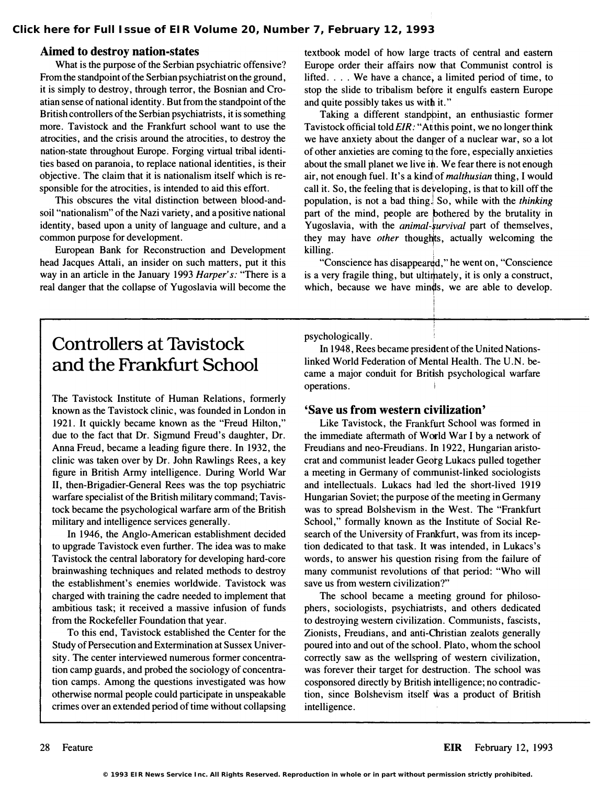## Aimed to destroy nation-states

What is the purpose of the Serbian psychiatric offensive? From the standpoint of the Serbian psychiatrist on the ground, it is simply to destroy, through terror, the Bosnian and Croatian sense of national identity. But from the standpoint of the British controllers of the Serbian psychiatrists, it is something more. Tavistock and the Frankfurt school want to use the atrocities, and the crisis around the atrocities, to destroy the nation-state throughout Europe. Forging virtual tribal identities based on paranoia, to replace national identities, is their objective. The claim that it is nationalism itself which is responsible for the atrocities, is intended to aid this effort.

This obscures the vital distinction between blood-andsoil "nationalism" of the Nazi variety, and a positive national identity, based upon a unity of language and culture, and a common purpose for development.

European Bank for Reconstruction and Development head Jacques Attali, an insider on such matters, put it this way in an article in the January 1993 Harper's: "There is a real danger that the collapse of Yugoslavia will become the textbook model of how large tracts of central and eastern Europe order their affairs now that Communist control is lifted.  $\ldots$  We have a chance, a limited period of time, to stop the slide to tribalism before it engulfs eastern Europe and quite possibly takes us with it. "

Taking a different standpbint, an enthusiastic former Tavistock official told EIR: "At this point, we no longer think we have anxiety about the danger of a nuclear war, so a lot of other anxieties are coming tq the fore, especially anxieties about the small planet we live in. We fear there is not enough air, not enough fuel. It's a kind of malthusian thing, I would call it. So, the feeling that is developing, is that to kill off the population, is not a bad thing.! So, while with the thinking part of the mind, people are bothered by the brutality in Yugoslavia, with the *animal-survival* part of themselves, they may have *other* thoughts, actually welcoming the killing.

"Conscience has disappeared," he went on, "Conscience" is a very fragile thing, but ultimately, it is only a construct, which, because we have min�s, we are able to develop.

I

## Controllers at Tavistock and the Frankfurt School

The Tavistock Institute of Human Relations, formerly known as the Tavistock clinic, was founded in London in 1921. It quickly became known as the "Freud Hilton," due to the fact that Dr. Sigmund Freud's daughter, Dr. Anna Freud, became a leading figure there. In 1932, the clinic was taken over by Dr. John Rawlings Rees, a key figure in British Army intelligence. During World War II, then-Brigadier-General Rees was the top psychiatric warfare specialist of the British military command; Tavistock became the psychological warfare arm of the British military and intelligence services generally.

In 1946, the Anglo-American establishment decided to upgrade Tavistock even further. The idea was to make Tavistock the central laboratory for developing hard-core brainwashing techniques and related methods to destroy the establishment's enemies worldwide. Tavistock was charged with training the cadre needed to implement that ambitious task; it received a massive infusion of funds from the Rockefeller Foundation that year.

To this end, Tavistock established the Center for the Study of Persecution and Extermination at Sussex University. The center interviewed numerous former concentration camp guards, and probed the sociology of concentration camps. Among the questions investigated was how otherwise normal people could participate in unspeakable crimes over an extended period of time without collapsing psychologically.

In 1948, Rees became president of the United Nationslinked World Federation of Mehtal Health. The U. N. became a major conduit for British psychological warfare operations.

## 'Save us from western civilization'

Like Tavistock, the Frankfurt School was formed in the immediate aftermath of World War I by a network of Freudians and neo-Freudians. In 1922, Hungarian aristocrat and communist leader Georg Lukacs pulled together a meeting in Germany of communist-linked sociologists and intellectuals. Lukacs had led the short-lived 1919 Hungarian Soviet; the purpose df the meeting in Germany was to spread Bolshevism in the West. The "Frankfurt School," formally known as the Institute of Social Research of the University of Frankfurt, was from its inception dedicated to that task. It was intended, in Lukacs's words, to answer his question rising from the failure of many communist revolutions of that period: "Who will save us from western civilization?"

The school became a meeting ground for philosophers, sociologists, psychiatrists, and others dedicated to destroying western civilizatidn. Communists, fascists, Zionists, Freudians, and anti-Christian zealots generally poured into and out of the school. Plato, whom the school correctly saw as the wellspring of western civilization, was forever their target for destruction. The school was cosponsored directly by British intelligence; no contradiction, since Bolshevism itself Was a product of British intelligence.